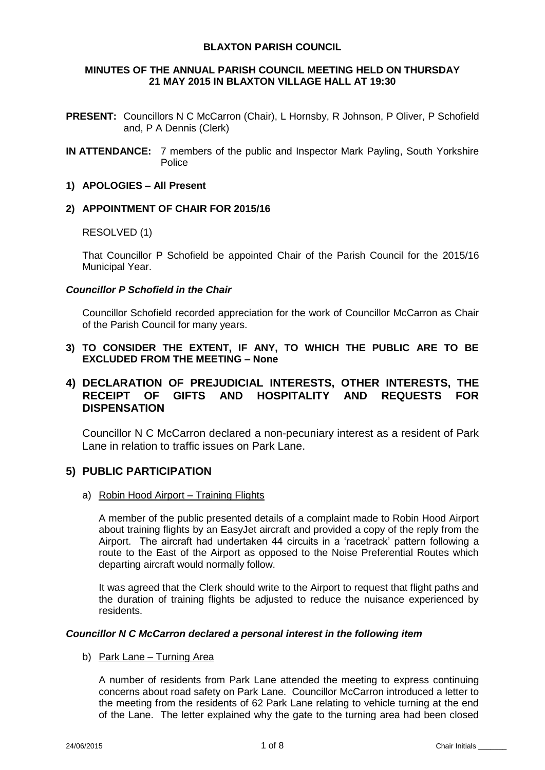# **BLAXTON PARISH COUNCIL**

## **MINUTES OF THE ANNUAL PARISH COUNCIL MEETING HELD ON THURSDAY 21 MAY 2015 IN BLAXTON VILLAGE HALL AT 19:30**

- **PRESENT:** Councillors N C McCarron (Chair), L Hornsby, R Johnson, P Oliver, P Schofield and, P A Dennis (Clerk)
- **IN ATTENDANCE:** 7 members of the public and Inspector Mark Payling, South Yorkshire Police

# **1) APOLOGIES – All Present**

## **2) APPOINTMENT OF CHAIR FOR 2015/16**

## RESOLVED (1)

That Councillor P Schofield be appointed Chair of the Parish Council for the 2015/16 Municipal Year.

## *Councillor P Schofield in the Chair*

Councillor Schofield recorded appreciation for the work of Councillor McCarron as Chair of the Parish Council for many years.

**3) TO CONSIDER THE EXTENT, IF ANY, TO WHICH THE PUBLIC ARE TO BE EXCLUDED FROM THE MEETING – None**

# **4) DECLARATION OF PREJUDICIAL INTERESTS, OTHER INTERESTS, THE RECEIPT OF GIFTS AND HOSPITALITY AND REQUESTS FOR DISPENSATION**

Councillor N C McCarron declared a non-pecuniary interest as a resident of Park Lane in relation to traffic issues on Park Lane.

# **5) PUBLIC PARTICIPATION**

a) Robin Hood Airport – Training Flights

A member of the public presented details of a complaint made to Robin Hood Airport about training flights by an EasyJet aircraft and provided a copy of the reply from the Airport. The aircraft had undertaken 44 circuits in a 'racetrack' pattern following a route to the East of the Airport as opposed to the Noise Preferential Routes which departing aircraft would normally follow.

It was agreed that the Clerk should write to the Airport to request that flight paths and the duration of training flights be adjusted to reduce the nuisance experienced by residents.

### *Councillor N C McCarron declared a personal interest in the following item*

### b) Park Lane – Turning Area

A number of residents from Park Lane attended the meeting to express continuing concerns about road safety on Park Lane. Councillor McCarron introduced a letter to the meeting from the residents of 62 Park Lane relating to vehicle turning at the end of the Lane. The letter explained why the gate to the turning area had been closed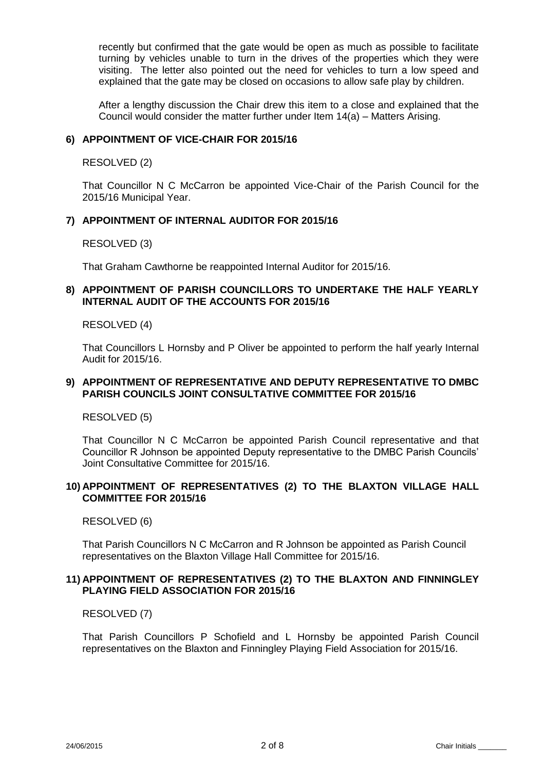recently but confirmed that the gate would be open as much as possible to facilitate turning by vehicles unable to turn in the drives of the properties which they were visiting. The letter also pointed out the need for vehicles to turn a low speed and explained that the gate may be closed on occasions to allow safe play by children.

After a lengthy discussion the Chair drew this item to a close and explained that the Council would consider the matter further under Item 14(a) – Matters Arising.

## **6) APPOINTMENT OF VICE-CHAIR FOR 2015/16**

RESOLVED (2)

That Councillor N C McCarron be appointed Vice-Chair of the Parish Council for the 2015/16 Municipal Year.

## **7) APPOINTMENT OF INTERNAL AUDITOR FOR 2015/16**

RESOLVED (3)

That Graham Cawthorne be reappointed Internal Auditor for 2015/16.

## **8) APPOINTMENT OF PARISH COUNCILLORS TO UNDERTAKE THE HALF YEARLY INTERNAL AUDIT OF THE ACCOUNTS FOR 2015/16**

### RESOLVED (4)

That Councillors L Hornsby and P Oliver be appointed to perform the half yearly Internal Audit for 2015/16.

### **9) APPOINTMENT OF REPRESENTATIVE AND DEPUTY REPRESENTATIVE TO DMBC PARISH COUNCILS JOINT CONSULTATIVE COMMITTEE FOR 2015/16**

RESOLVED (5)

That Councillor N C McCarron be appointed Parish Council representative and that Councillor R Johnson be appointed Deputy representative to the DMBC Parish Councils' Joint Consultative Committee for 2015/16.

## **10) APPOINTMENT OF REPRESENTATIVES (2) TO THE BLAXTON VILLAGE HALL COMMITTEE FOR 2015/16**

RESOLVED (6)

That Parish Councillors N C McCarron and R Johnson be appointed as Parish Council representatives on the Blaxton Village Hall Committee for 2015/16.

## **11) APPOINTMENT OF REPRESENTATIVES (2) TO THE BLAXTON AND FINNINGLEY PLAYING FIELD ASSOCIATION FOR 2015/16**

RESOLVED (7)

That Parish Councillors P Schofield and L Hornsby be appointed Parish Council representatives on the Blaxton and Finningley Playing Field Association for 2015/16.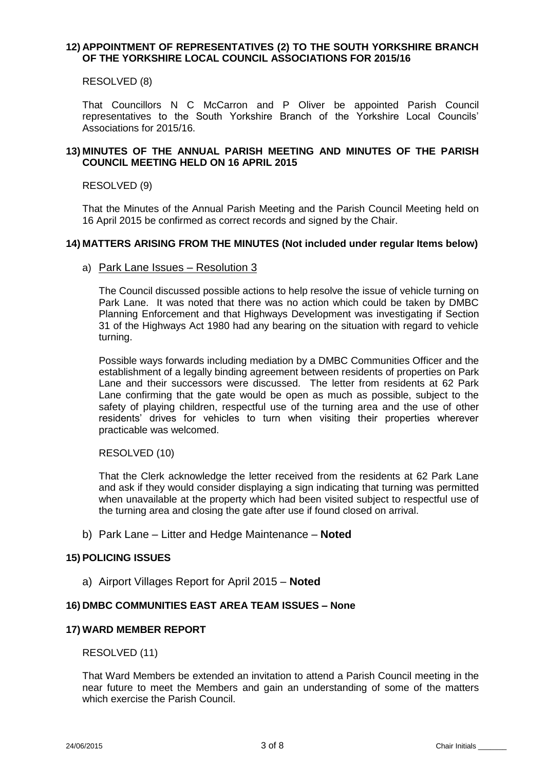## **12) APPOINTMENT OF REPRESENTATIVES (2) TO THE SOUTH YORKSHIRE BRANCH OF THE YORKSHIRE LOCAL COUNCIL ASSOCIATIONS FOR 2015/16**

RESOLVED (8)

That Councillors N C McCarron and P Oliver be appointed Parish Council representatives to the South Yorkshire Branch of the Yorkshire Local Councils' Associations for 2015/16.

# **13) MINUTES OF THE ANNUAL PARISH MEETING AND MINUTES OF THE PARISH COUNCIL MEETING HELD ON 16 APRIL 2015**

### RESOLVED (9)

That the Minutes of the Annual Parish Meeting and the Parish Council Meeting held on 16 April 2015 be confirmed as correct records and signed by the Chair.

### **14) MATTERS ARISING FROM THE MINUTES (Not included under regular Items below)**

### a) Park Lane Issues – Resolution 3

The Council discussed possible actions to help resolve the issue of vehicle turning on Park Lane. It was noted that there was no action which could be taken by DMBC Planning Enforcement and that Highways Development was investigating if Section 31 of the Highways Act 1980 had any bearing on the situation with regard to vehicle turning.

Possible ways forwards including mediation by a DMBC Communities Officer and the establishment of a legally binding agreement between residents of properties on Park Lane and their successors were discussed. The letter from residents at 62 Park Lane confirming that the gate would be open as much as possible, subject to the safety of playing children, respectful use of the turning area and the use of other residents' drives for vehicles to turn when visiting their properties wherever practicable was welcomed.

RESOLVED (10)

That the Clerk acknowledge the letter received from the residents at 62 Park Lane and ask if they would consider displaying a sign indicating that turning was permitted when unavailable at the property which had been visited subject to respectful use of the turning area and closing the gate after use if found closed on arrival.

b) Park Lane – Litter and Hedge Maintenance – **Noted**

## **15) POLICING ISSUES**

a) Airport Villages Report for April 2015 – **Noted**

### **16) DMBC COMMUNITIES EAST AREA TEAM ISSUES – None**

### **17) WARD MEMBER REPORT**

RESOLVED (11)

That Ward Members be extended an invitation to attend a Parish Council meeting in the near future to meet the Members and gain an understanding of some of the matters which exercise the Parish Council.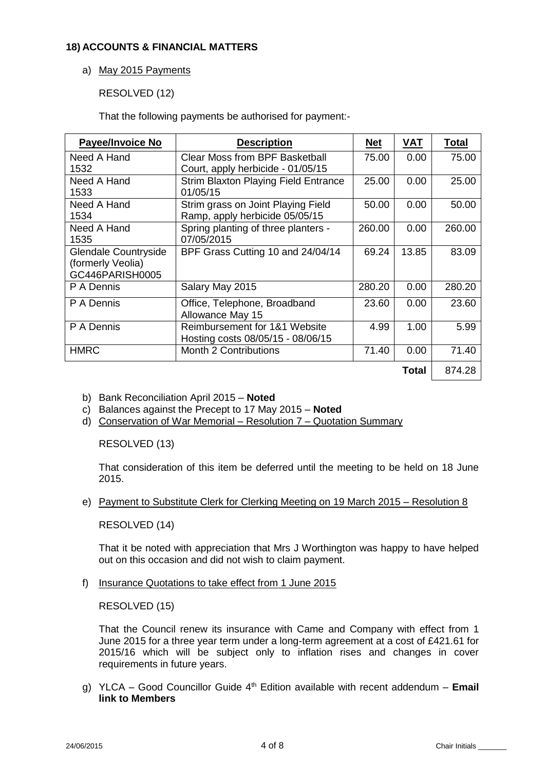# **18) ACCOUNTS & FINANCIAL MATTERS**

# a) May 2015 Payments

RESOLVED (12)

That the following payments be authorised for payment:-

| Payee/Invoice No     | <b>Description</b>                          | <u>Net</u> | VAT   | <b>Total</b> |
|----------------------|---------------------------------------------|------------|-------|--------------|
| Need A Hand          | Clear Moss from BPF Basketball              | 75.00      | 0.00  | 75.00        |
| 1532                 | Court, apply herbicide - 01/05/15           |            |       |              |
| Need A Hand          | <b>Strim Blaxton Playing Field Entrance</b> | 25.00      | 0.00  | 25.00        |
| 1533                 | 01/05/15                                    |            |       |              |
| Need A Hand          | Strim grass on Joint Playing Field          | 50.00      | 0.00  | 50.00        |
| 1534                 | Ramp, apply herbicide 05/05/15              |            |       |              |
| Need A Hand          | Spring planting of three planters -         | 260.00     | 0.00  | 260.00       |
| 1535                 | 07/05/2015                                  |            |       |              |
| Glendale Countryside | BPF Grass Cutting 10 and 24/04/14           | 69.24      | 13.85 | 83.09        |
| (formerly Veolia)    |                                             |            |       |              |
| GC446PARISH0005      |                                             |            |       |              |
| P A Dennis           | Salary May 2015                             | 280.20     | 0.00  | 280.20       |
| P A Dennis           | Office, Telephone, Broadband                | 23.60      | 0.00  | 23.60        |
|                      | Allowance May 15                            |            |       |              |
| P A Dennis           | Reimbursement for 1&1 Website               | 4.99       | 1.00  | 5.99         |
|                      | Hosting costs 08/05/15 - 08/06/15           |            |       |              |
| <b>HMRC</b>          | <b>Month 2 Contributions</b>                | 71.40      | 0.00  | 71.40        |
|                      |                                             |            | Total | 874.28       |

b) Bank Reconciliation April 2015 – **Noted**

- c) Balances against the Precept to 17 May 2015 **Noted**
- d) Conservation of War Memorial Resolution 7 Quotation Summary

# RESOLVED (13)

That consideration of this item be deferred until the meeting to be held on 18 June 2015.

e) Payment to Substitute Clerk for Clerking Meeting on 19 March 2015 – Resolution 8

# RESOLVED (14)

That it be noted with appreciation that Mrs J Worthington was happy to have helped out on this occasion and did not wish to claim payment.

f) Insurance Quotations to take effect from 1 June 2015

RESOLVED (15)

That the Council renew its insurance with Came and Company with effect from 1 June 2015 for a three year term under a long-term agreement at a cost of £421.61 for 2015/16 which will be subject only to inflation rises and changes in cover requirements in future years.

g) YLCA – Good Councillor Guide 4th Edition available with recent addendum – **Email link to Members**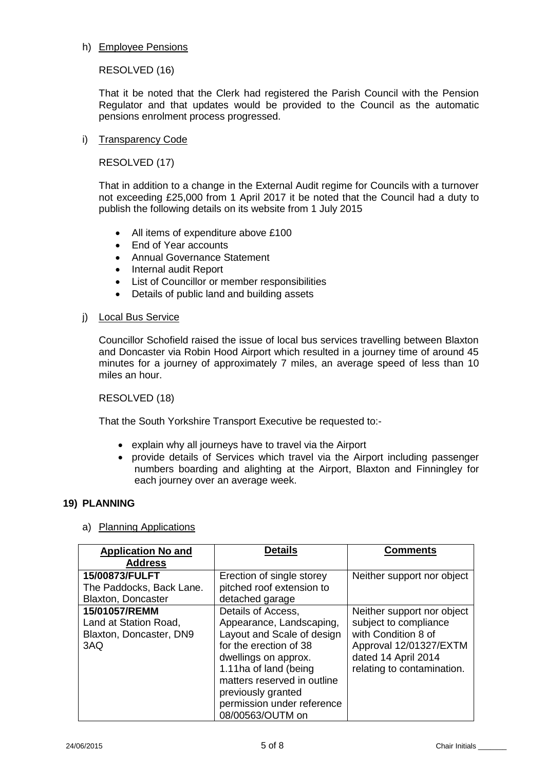## h) Employee Pensions

RESOLVED (16)

That it be noted that the Clerk had registered the Parish Council with the Pension Regulator and that updates would be provided to the Council as the automatic pensions enrolment process progressed.

# i) Transparency Code

RESOLVED (17)

That in addition to a change in the External Audit regime for Councils with a turnover not exceeding £25,000 from 1 April 2017 it be noted that the Council had a duty to publish the following details on its website from 1 July 2015

- All items of expenditure above £100
- Fnd of Year accounts
- Annual Governance Statement
- Internal audit Report
- List of Councillor or member responsibilities
- Details of public land and building assets
- j) Local Bus Service

Councillor Schofield raised the issue of local bus services travelling between Blaxton and Doncaster via Robin Hood Airport which resulted in a journey time of around 45 minutes for a journey of approximately 7 miles, an average speed of less than 10 miles an hour.

RESOLVED (18)

That the South Yorkshire Transport Executive be requested to:-

- explain why all journeys have to travel via the Airport
- provide details of Services which travel via the Airport including passenger numbers boarding and alighting at the Airport, Blaxton and Finningley for each journey over an average week.

# **19) PLANNING**

a) Planning Applications

| <b>Application No and</b>                                                | <b>Details</b>                                                                                                                                                                                                                                                 | <b>Comments</b>                                                                                                                                           |  |
|--------------------------------------------------------------------------|----------------------------------------------------------------------------------------------------------------------------------------------------------------------------------------------------------------------------------------------------------------|-----------------------------------------------------------------------------------------------------------------------------------------------------------|--|
| <b>Address</b>                                                           |                                                                                                                                                                                                                                                                |                                                                                                                                                           |  |
| 15/00873/FULFT<br>The Paddocks, Back Lane.<br><b>Blaxton, Doncaster</b>  | Erection of single storey<br>pitched roof extension to<br>detached garage                                                                                                                                                                                      | Neither support nor object                                                                                                                                |  |
| 15/01057/REMM<br>Land at Station Road,<br>Blaxton, Doncaster, DN9<br>3AQ | Details of Access.<br>Appearance, Landscaping,<br>Layout and Scale of design<br>for the erection of 38<br>dwellings on approx.<br>1.11ha of land (being<br>matters reserved in outline<br>previously granted<br>permission under reference<br>08/00563/OUTM on | Neither support nor object<br>subject to compliance<br>with Condition 8 of<br>Approval 12/01327/EXTM<br>dated 14 April 2014<br>relating to contamination. |  |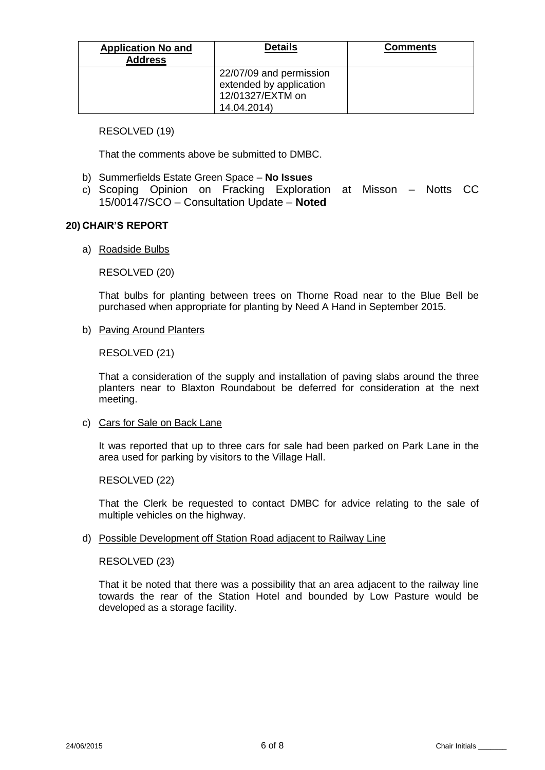| <b>Application No and</b><br><b>Address</b> | <b>Details</b>                                                                        | <b>Comments</b> |
|---------------------------------------------|---------------------------------------------------------------------------------------|-----------------|
|                                             | 22/07/09 and permission<br>extended by application<br>12/01327/EXTM on<br>14.04.2014) |                 |

## RESOLVED (19)

That the comments above be submitted to DMBC.

- b) Summerfields Estate Green Space **No Issues**
- c) Scoping Opinion on Fracking Exploration at Misson Notts CC 15/00147/SCO – Consultation Update – **Noted**

## **20) CHAIR'S REPORT**

## a) Roadside Bulbs

RESOLVED (20)

That bulbs for planting between trees on Thorne Road near to the Blue Bell be purchased when appropriate for planting by Need A Hand in September 2015.

b) Paving Around Planters

RESOLVED (21)

That a consideration of the supply and installation of paving slabs around the three planters near to Blaxton Roundabout be deferred for consideration at the next meeting.

### c) Cars for Sale on Back Lane

It was reported that up to three cars for sale had been parked on Park Lane in the area used for parking by visitors to the Village Hall.

RESOLVED (22)

That the Clerk be requested to contact DMBC for advice relating to the sale of multiple vehicles on the highway.

### d) Possible Development off Station Road adjacent to Railway Line

RESOLVED (23)

That it be noted that there was a possibility that an area adjacent to the railway line towards the rear of the Station Hotel and bounded by Low Pasture would be developed as a storage facility.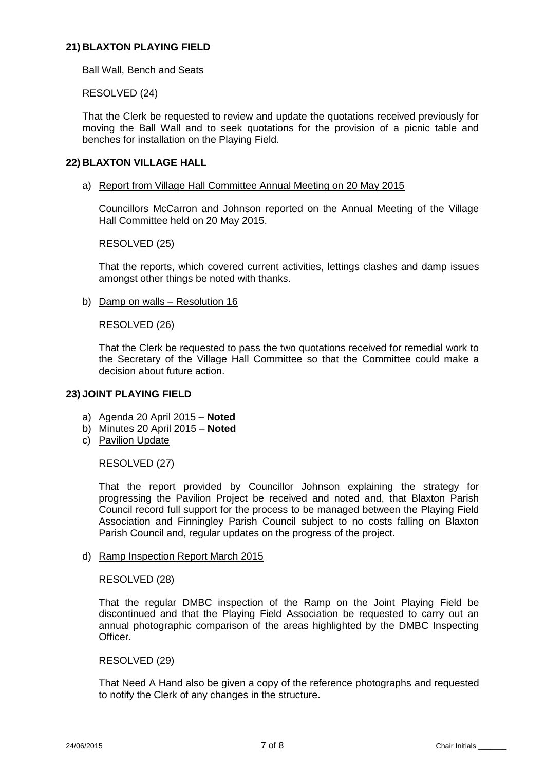## **21) BLAXTON PLAYING FIELD**

### Ball Wall, Bench and Seats

## RESOLVED (24)

That the Clerk be requested to review and update the quotations received previously for moving the Ball Wall and to seek quotations for the provision of a picnic table and benches for installation on the Playing Field.

## **22) BLAXTON VILLAGE HALL**

### a) Report from Village Hall Committee Annual Meeting on 20 May 2015

Councillors McCarron and Johnson reported on the Annual Meeting of the Village Hall Committee held on 20 May 2015.

RESOLVED (25)

That the reports, which covered current activities, lettings clashes and damp issues amongst other things be noted with thanks.

b) Damp on walls – Resolution 16

RESOLVED (26)

That the Clerk be requested to pass the two quotations received for remedial work to the Secretary of the Village Hall Committee so that the Committee could make a decision about future action.

### **23) JOINT PLAYING FIELD**

- a) Agenda 20 April 2015 **Noted**
- b) Minutes 20 April 2015 **Noted**
- c) Pavilion Update

RESOLVED (27)

That the report provided by Councillor Johnson explaining the strategy for progressing the Pavilion Project be received and noted and, that Blaxton Parish Council record full support for the process to be managed between the Playing Field Association and Finningley Parish Council subject to no costs falling on Blaxton Parish Council and, regular updates on the progress of the project.

d) Ramp Inspection Report March 2015

RESOLVED (28)

That the regular DMBC inspection of the Ramp on the Joint Playing Field be discontinued and that the Playing Field Association be requested to carry out an annual photographic comparison of the areas highlighted by the DMBC Inspecting **Officer** 

### RESOLVED (29)

That Need A Hand also be given a copy of the reference photographs and requested to notify the Clerk of any changes in the structure.